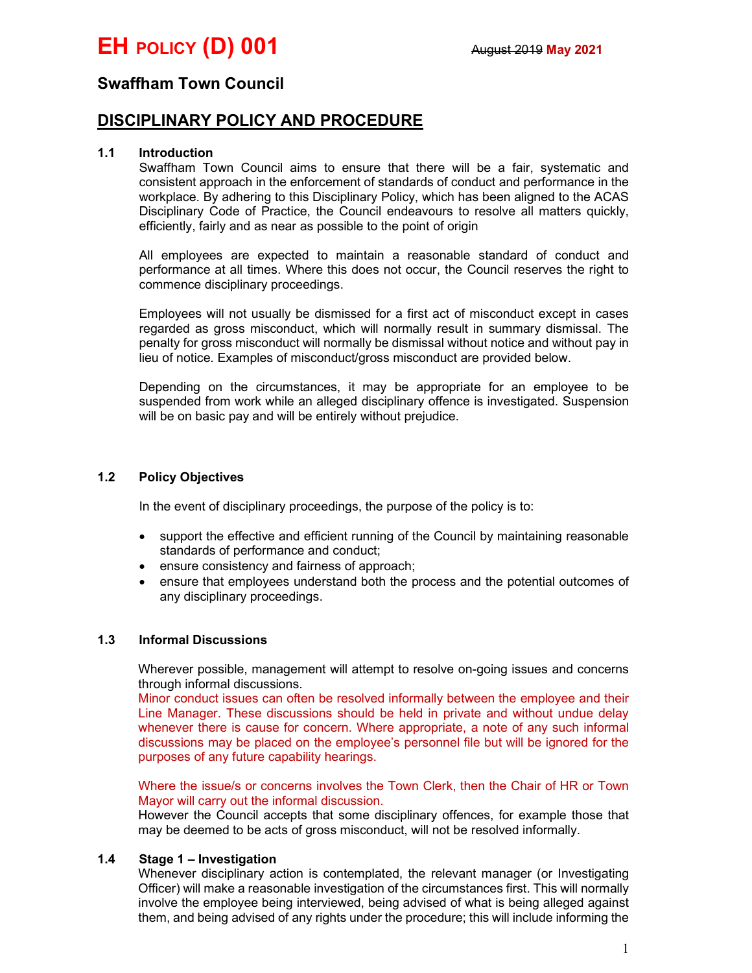# Swaffham Town Council

# DISCIPLINARY POLICY AND PROCEDURE

## 1.1 Introduction

Swaffham Town Council aims to ensure that there will be a fair, systematic and consistent approach in the enforcement of standards of conduct and performance in the workplace. By adhering to this Disciplinary Policy, which has been aligned to the ACAS Disciplinary Code of Practice, the Council endeavours to resolve all matters quickly, efficiently, fairly and as near as possible to the point of origin

All employees are expected to maintain a reasonable standard of conduct and performance at all times. Where this does not occur, the Council reserves the right to commence disciplinary proceedings.

Employees will not usually be dismissed for a first act of misconduct except in cases regarded as gross misconduct, which will normally result in summary dismissal. The penalty for gross misconduct will normally be dismissal without notice and without pay in lieu of notice. Examples of misconduct/gross misconduct are provided below.

Depending on the circumstances, it may be appropriate for an employee to be suspended from work while an alleged disciplinary offence is investigated. Suspension will be on basic pay and will be entirely without prejudice.

## 1.2 Policy Objectives

In the event of disciplinary proceedings, the purpose of the policy is to:

- support the effective and efficient running of the Council by maintaining reasonable standards of performance and conduct;
- ensure consistency and fairness of approach;
- ensure that employees understand both the process and the potential outcomes of any disciplinary proceedings.

#### 1.3 Informal Discussions

Wherever possible, management will attempt to resolve on-going issues and concerns through informal discussions.

Minor conduct issues can often be resolved informally between the employee and their Line Manager. These discussions should be held in private and without undue delay whenever there is cause for concern. Where appropriate, a note of any such informal discussions may be placed on the employee's personnel file but will be ignored for the purposes of any future capability hearings.

Where the issue/s or concerns involves the Town Clerk, then the Chair of HR or Town Mayor will carry out the informal discussion.

However the Council accepts that some disciplinary offences, for example those that may be deemed to be acts of gross misconduct, will not be resolved informally.

#### 1.4 Stage 1 – Investigation

Whenever disciplinary action is contemplated, the relevant manager (or Investigating Officer) will make a reasonable investigation of the circumstances first. This will normally involve the employee being interviewed, being advised of what is being alleged against them, and being advised of any rights under the procedure; this will include informing the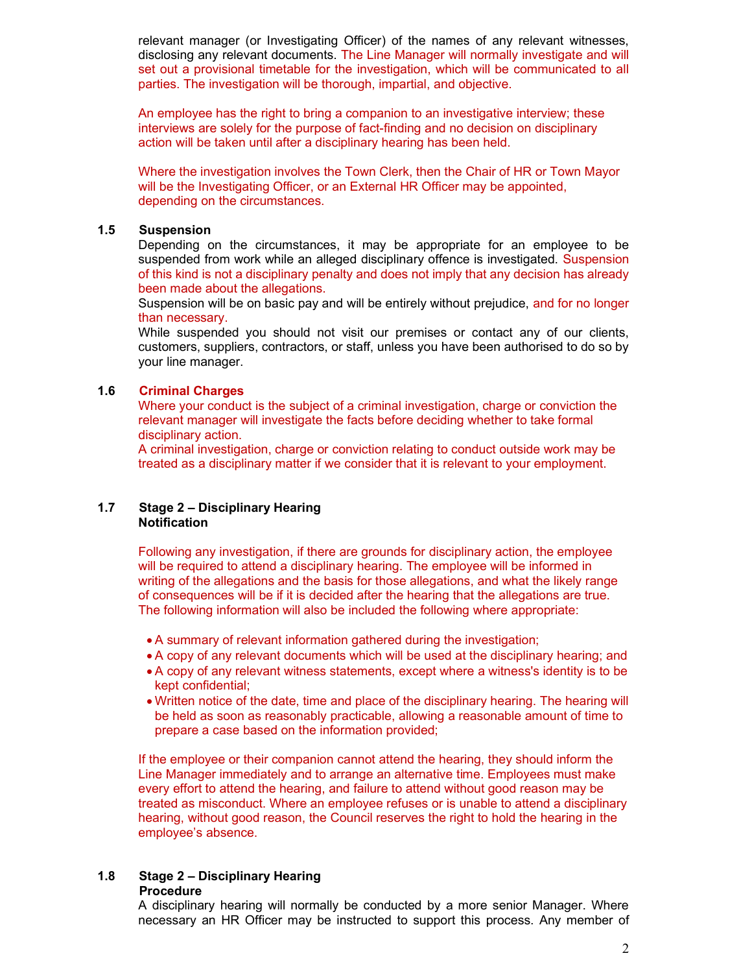relevant manager (or Investigating Officer) of the names of any relevant witnesses, disclosing any relevant documents. The Line Manager will normally investigate and will set out a provisional timetable for the investigation, which will be communicated to all parties. The investigation will be thorough, impartial, and objective.

An employee has the right to bring a companion to an investigative interview; these interviews are solely for the purpose of fact-finding and no decision on disciplinary action will be taken until after a disciplinary hearing has been held.

Where the investigation involves the Town Clerk, then the Chair of HR or Town Mayor will be the Investigating Officer, or an External HR Officer may be appointed, depending on the circumstances.

# 1.5 Suspension

Depending on the circumstances, it may be appropriate for an employee to be suspended from work while an alleged disciplinary offence is investigated. Suspension of this kind is not a disciplinary penalty and does not imply that any decision has already been made about the allegations.

Suspension will be on basic pay and will be entirely without prejudice, and for no longer than necessary.

While suspended you should not visit our premises or contact any of our clients, customers, suppliers, contractors, or staff, unless you have been authorised to do so by your line manager.

# 1.6 Criminal Charges

Where your conduct is the subject of a criminal investigation, charge or conviction the relevant manager will investigate the facts before deciding whether to take formal disciplinary action.

A criminal investigation, charge or conviction relating to conduct outside work may be treated as a disciplinary matter if we consider that it is relevant to your employment.

#### 1.7 Stage 2 – Disciplinary Hearing Notification

Following any investigation, if there are grounds for disciplinary action, the employee will be required to attend a disciplinary hearing. The employee will be informed in writing of the allegations and the basis for those allegations, and what the likely range of consequences will be if it is decided after the hearing that the allegations are true. The following information will also be included the following where appropriate:

- A summary of relevant information gathered during the investigation;
- A copy of any relevant documents which will be used at the disciplinary hearing; and
- A copy of any relevant witness statements, except where a witness's identity is to be kept confidential;
- Written notice of the date, time and place of the disciplinary hearing. The hearing will be held as soon as reasonably practicable, allowing a reasonable amount of time to prepare a case based on the information provided;

If the employee or their companion cannot attend the hearing, they should inform the Line Manager immediately and to arrange an alternative time. Employees must make every effort to attend the hearing, and failure to attend without good reason may be treated as misconduct. Where an employee refuses or is unable to attend a disciplinary hearing, without good reason, the Council reserves the right to hold the hearing in the employee's absence.

# 1.8 Stage 2 – Disciplinary Hearing

#### Procedure

A disciplinary hearing will normally be conducted by a more senior Manager. Where necessary an HR Officer may be instructed to support this process. Any member of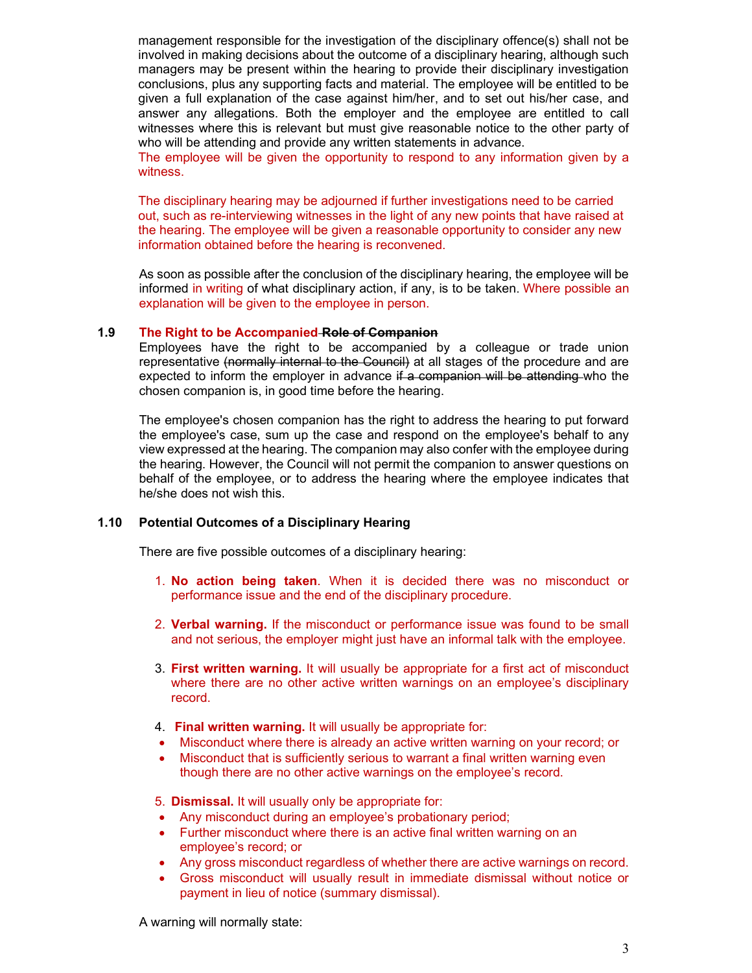management responsible for the investigation of the disciplinary offence(s) shall not be involved in making decisions about the outcome of a disciplinary hearing, although such managers may be present within the hearing to provide their disciplinary investigation conclusions, plus any supporting facts and material. The employee will be entitled to be given a full explanation of the case against him/her, and to set out his/her case, and answer any allegations. Both the employer and the employee are entitled to call witnesses where this is relevant but must give reasonable notice to the other party of who will be attending and provide any written statements in advance.

The employee will be given the opportunity to respond to any information given by a witness.

The disciplinary hearing may be adjourned if further investigations need to be carried out, such as re-interviewing witnesses in the light of any new points that have raised at the hearing. The employee will be given a reasonable opportunity to consider any new information obtained before the hearing is reconvened.

As soon as possible after the conclusion of the disciplinary hearing, the employee will be informed in writing of what disciplinary action, if any, is to be taken. Where possible an explanation will be given to the employee in person.

#### 1.9 The Right to be Accompanied Role of Companion

Employees have the right to be accompanied by a colleague or trade union representative (normally internal to the Council) at all stages of the procedure and are expected to inform the employer in advance if a companion will be attending who the chosen companion is, in good time before the hearing.

The employee's chosen companion has the right to address the hearing to put forward the employee's case, sum up the case and respond on the employee's behalf to any view expressed at the hearing. The companion may also confer with the employee during the hearing. However, the Council will not permit the companion to answer questions on behalf of the employee, or to address the hearing where the employee indicates that he/she does not wish this.

#### 1.10 Potential Outcomes of a Disciplinary Hearing

There are five possible outcomes of a disciplinary hearing:

- 1. No action being taken. When it is decided there was no misconduct or performance issue and the end of the disciplinary procedure.
- 2. **Verbal warning.** If the misconduct or performance issue was found to be small and not serious, the employer might just have an informal talk with the employee.
- 3. First written warning. It will usually be appropriate for a first act of misconduct where there are no other active written warnings on an employee's disciplinary record.
- 4. Final written warning. It will usually be appropriate for:
- Misconduct where there is already an active written warning on your record; or
- Misconduct that is sufficiently serious to warrant a final written warning even though there are no other active warnings on the employee's record.
- 5. Dismissal. It will usually only be appropriate for:
- Any misconduct during an employee's probationary period;
- Further misconduct where there is an active final written warning on an employee's record; or
- Any gross misconduct regardless of whether there are active warnings on record.
- Gross misconduct will usually result in immediate dismissal without notice or payment in lieu of notice (summary dismissal).

A warning will normally state: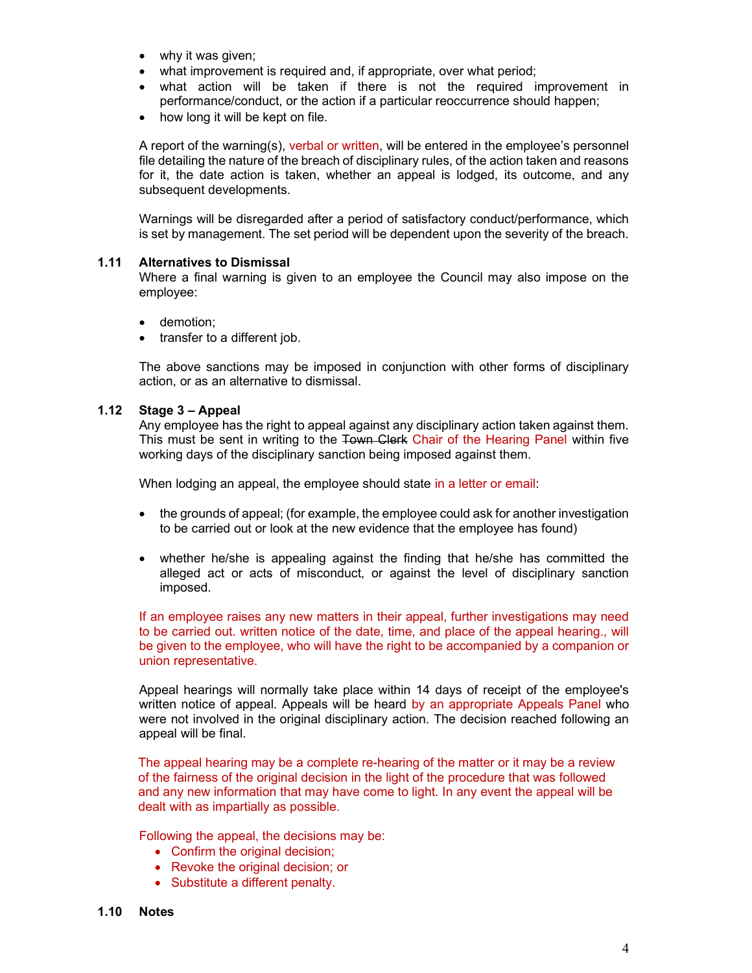- why it was given;
- what improvement is required and, if appropriate, over what period;
- what action will be taken if there is not the required improvement in performance/conduct, or the action if a particular reoccurrence should happen;
- how long it will be kept on file.

A report of the warning(s), verbal or written, will be entered in the employee's personnel file detailing the nature of the breach of disciplinary rules, of the action taken and reasons for it, the date action is taken, whether an appeal is lodged, its outcome, and any subsequent developments.

Warnings will be disregarded after a period of satisfactory conduct/performance, which is set by management. The set period will be dependent upon the severity of the breach.

#### 1.11 Alternatives to Dismissal

Where a final warning is given to an employee the Council may also impose on the employee:

- demotion;
- transfer to a different job.

The above sanctions may be imposed in conjunction with other forms of disciplinary action, or as an alternative to dismissal.

#### 1.12 Stage 3 – Appeal

Any employee has the right to appeal against any disciplinary action taken against them. This must be sent in writing to the Town Clerk Chair of the Hearing Panel within five working days of the disciplinary sanction being imposed against them.

When lodging an appeal, the employee should state in a letter or email:

- the grounds of appeal; (for example, the employee could ask for another investigation to be carried out or look at the new evidence that the employee has found)
- whether he/she is appealing against the finding that he/she has committed the alleged act or acts of misconduct, or against the level of disciplinary sanction imposed.

If an employee raises any new matters in their appeal, further investigations may need to be carried out. written notice of the date, time, and place of the appeal hearing., will be given to the employee, who will have the right to be accompanied by a companion or union representative.

Appeal hearings will normally take place within 14 days of receipt of the employee's written notice of appeal. Appeals will be heard by an appropriate Appeals Panel who were not involved in the original disciplinary action. The decision reached following an appeal will be final.

The appeal hearing may be a complete re-hearing of the matter or it may be a review of the fairness of the original decision in the light of the procedure that was followed and any new information that may have come to light. In any event the appeal will be dealt with as impartially as possible.

Following the appeal, the decisions may be:

- Confirm the original decision;
- Revoke the original decision; or
- Substitute a different penalty.
- 1.10 Notes